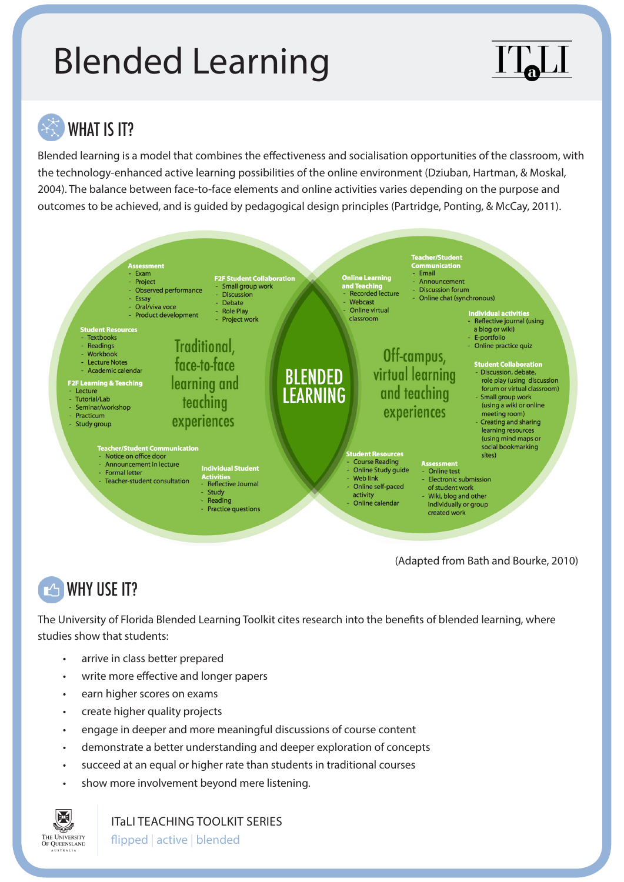# Blended Learning



# WHAT IS IT?

Blended learning is a model that combines the effectiveness and socialisation opportunities of the classroom, with the technology-enhanced active learning possibilities of the online environment (Dziuban, Hartman, & Moskal, 2004). The balance between face-to-face elements and online activities varies depending on the purpose and outcomes to be achieved, and is guided by pedagogical design principles (Partridge, Ponting, & McCay, 2011).



(Adapted from Bath and Bourke, 2010)

#### **TAN WHY USE IT?**

The University of Florida Blended Learning Toolkit cites research into the benefits of blended learning, where studies show that students:

- arrive in class better prepared
- write more effective and longer papers
- earn higher scores on exams
- create higher quality projects
- engage in deeper and more meaningful discussions of course content
- demonstrate a better understanding and deeper exploration of concepts
- succeed at an equal or higher rate than students in traditional courses
- show more involvement beyond mere listening.



ITaLI TEACHING TOOLKIT SERIES

flipped | active | blended